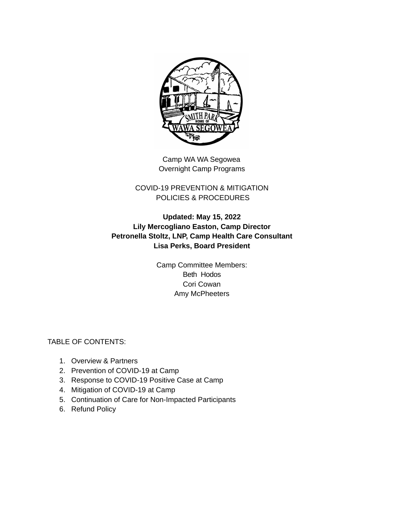

Camp WA WA Segowea Overnight Camp Programs

### COVID-19 PREVENTION & MITIGATION POLICIES & PROCEDURES

## **Updated: May 15, 2022 Lily Mercogliano Easton, Camp Director Petronella Stoltz, LNP, Camp Health Care Consultant Lisa Perks, Board President**

Camp Committee Members: Beth Hodos Cori Cowan Amy McPheeters

TABLE OF CONTENTS:

- 1. Overview & Partners
- 2. Prevention of COVID-19 at Camp
- 3. Response to COVID-19 Positive Case at Camp
- 4. Mitigation of COVID-19 at Camp
- 5. Continuation of Care for Non-Impacted Participants
- 6. Refund Policy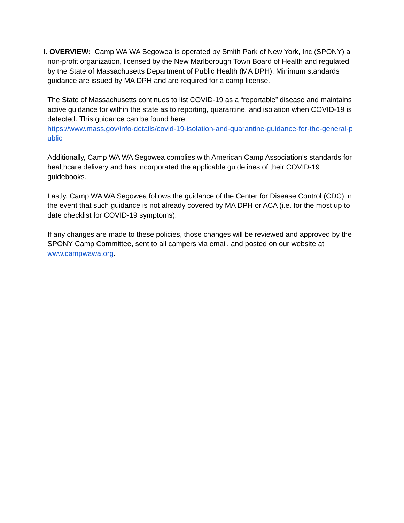**I. OVERVIEW:** Camp WA WA Segowea is operated by Smith Park of New York, Inc (SPONY) a non-profit organization, licensed by the New Marlborough Town Board of Health and regulated by the State of Massachusetts Department of Public Health (MA DPH). Minimum standards guidance are issued by MA DPH and are required for a camp license.

The State of Massachusetts continues to list COVID-19 as a "reportable" disease and maintains active guidance for within the state as to reporting, quarantine, and isolation when COVID-19 is detected. This guidance can be found here:

[https://www.mass.gov/info-details/covid-19-isolation-and-quarantine-guidance-for-the-general-p](https://www.mass.gov/info-details/covid-19-isolation-and-quarantine-guidance-for-the-general-public) [ublic](https://www.mass.gov/info-details/covid-19-isolation-and-quarantine-guidance-for-the-general-public)

Additionally, Camp WA WA Segowea complies with American Camp Association's standards for healthcare delivery and has incorporated the applicable guidelines of their COVID-19 guidebooks.

Lastly, Camp WA WA Segowea follows the guidance of the Center for Disease Control (CDC) in the event that such guidance is not already covered by MA DPH or ACA (i.e. for the most up to date checklist for COVID-19 symptoms).

If any changes are made to these policies, those changes will be reviewed and approved by the SPONY Camp Committee, sent to all campers via email, and posted on our website at [www.campwawa.org](http://www.campwawa.org).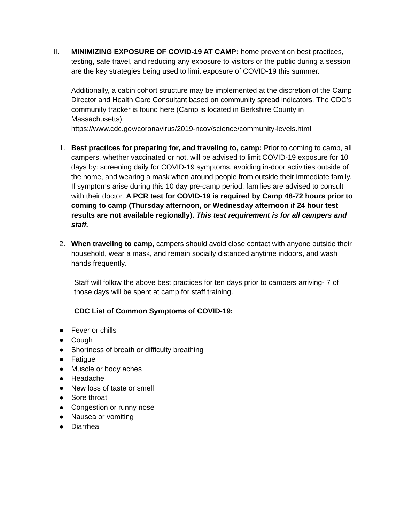II. **MINIMIZING EXPOSURE OF COVID-19 AT CAMP:** home prevention best practices, testing, safe travel, and reducing any exposure to visitors or the public during a session are the key strategies being used to limit exposure of COVID-19 this summer.

Additionally, a cabin cohort structure may be implemented at the discretion of the Camp Director and Health Care Consultant based on community spread indicators. The CDC's community tracker is found here (Camp is located in Berkshire County in Massachusetts):

https://www.cdc.gov/coronavirus/2019-ncov/science/community-levels.html

- 1. **Best practices for preparing for, and traveling to, camp:** Prior to coming to camp, all campers, whether vaccinated or not, will be advised to limit COVID-19 exposure for 10 days by: screening daily for COVID-19 symptoms, avoiding in-door activities outside of the home, and wearing a mask when around people from outside their immediate family. If symptoms arise during this 10 day pre-camp period, families are advised to consult with their doctor. **A PCR test for COVID-19 is required by Camp 48-72 hours prior to coming to camp (Thursday afternoon, or Wednesday afternoon if 24 hour test results are not available regionally).** *This test requirement is for all campers and staff.*
- 2. **When traveling to camp,** campers should avoid close contact with anyone outside their household, wear a mask, and remain socially distanced anytime indoors, and wash hands frequently.

Staff will follow the above best practices for ten days prior to campers arriving- 7 of those days will be spent at camp for staff training.

### **CDC List of Common Symptoms of COVID-19:**

- Fever or chills
- Cough
- Shortness of breath or difficulty breathing
- Fatigue
- Muscle or body aches
- Headache
- New loss of taste or smell
- Sore throat
- Congestion or runny nose
- Nausea or vomiting
- Diarrhea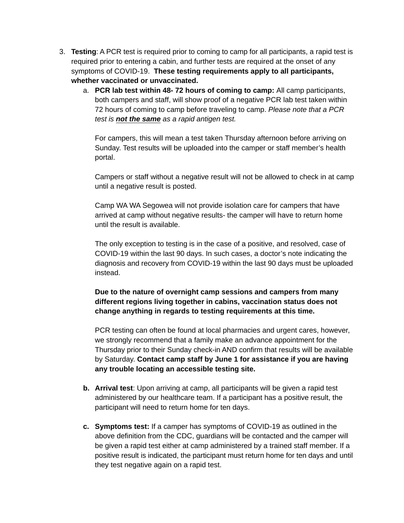- 3. **Testing**: A PCR test is required prior to coming to camp for all participants, a rapid test is required prior to entering a cabin, and further tests are required at the onset of any symptoms of COVID-19. **These testing requirements apply to all participants, whether vaccinated or unvaccinated.**
	- a. **PCR lab test within 48- 72 hours of coming to camp:** All camp participants, both campers and staff, will show proof of a negative PCR lab test taken within 72 hours of coming to camp before traveling to camp. *Please note that a PCR test is not the same as a rapid antigen test.*

For campers, this will mean a test taken Thursday afternoon before arriving on Sunday. Test results will be uploaded into the camper or staff member's health portal.

Campers or staff without a negative result will not be allowed to check in at camp until a negative result is posted.

Camp WA WA Segowea will not provide isolation care for campers that have arrived at camp without negative results- the camper will have to return home until the result is available.

The only exception to testing is in the case of a positive, and resolved, case of COVID-19 within the last 90 days. In such cases, a doctor's note indicating the diagnosis and recovery from COVID-19 within the last 90 days must be uploaded instead.

**Due to the nature of overnight camp sessions and campers from many different regions living together in cabins, vaccination status does not change anything in regards to testing requirements at this time.**

PCR testing can often be found at local pharmacies and urgent cares, however, we strongly recommend that a family make an advance appointment for the Thursday prior to their Sunday check-in AND confirm that results will be available by Saturday. **Contact camp staff by June 1 for assistance if you are having any trouble locating an accessible testing site.**

- **b. Arrival test**: Upon arriving at camp, all participants will be given a rapid test administered by our healthcare team. If a participant has a positive result, the participant will need to return home for ten days.
- **c. Symptoms test:** If a camper has symptoms of COVID-19 as outlined in the above definition from the CDC, guardians will be contacted and the camper will be given a rapid test either at camp administered by a trained staff member. If a positive result is indicated, the participant must return home for ten days and until they test negative again on a rapid test.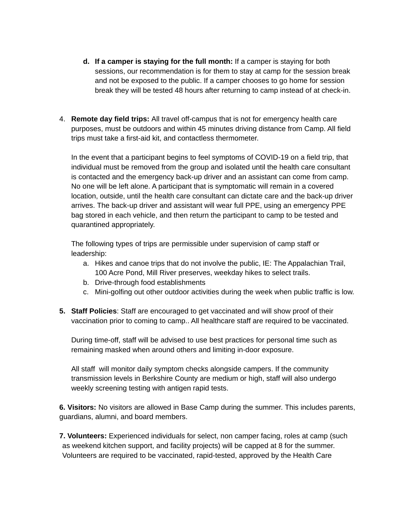- **d. If a camper is staying for the full month:** If a camper is staying for both sessions, our recommendation is for them to stay at camp for the session break and not be exposed to the public. If a camper chooses to go home for session break they will be tested 48 hours after returning to camp instead of at check-in.
- 4. **Remote day field trips:** All travel off-campus that is not for emergency health care purposes, must be outdoors and within 45 minutes driving distance from Camp. All field trips must take a first-aid kit, and contactless thermometer.

In the event that a participant begins to feel symptoms of COVID-19 on a field trip, that individual must be removed from the group and isolated until the health care consultant is contacted and the emergency back-up driver and an assistant can come from camp. No one will be left alone. A participant that is symptomatic will remain in a covered location, outside, until the health care consultant can dictate care and the back-up driver arrives. The back-up driver and assistant will wear full PPE, using an emergency PPE bag stored in each vehicle, and then return the participant to camp to be tested and quarantined appropriately.

The following types of trips are permissible under supervision of camp staff or leadership:

- a. Hikes and canoe trips that do not involve the public, IE: The Appalachian Trail, 100 Acre Pond, Mill River preserves, weekday hikes to select trails.
- b. Drive-through food establishments
- c. Mini-golfing out other outdoor activities during the week when public traffic is low.
- **5. Staff Policies**: Staff are encouraged to get vaccinated and will show proof of their vaccination prior to coming to camp.. All healthcare staff are required to be vaccinated.

During time-off, staff will be advised to use best practices for personal time such as remaining masked when around others and limiting in-door exposure.

All staff will monitor daily symptom checks alongside campers. If the community transmission levels in Berkshire County are medium or high, staff will also undergo weekly screening testing with antigen rapid tests.

**6. Visitors:** No visitors are allowed in Base Camp during the summer. This includes parents, guardians, alumni, and board members.

**7. Volunteers:** Experienced individuals for select, non camper facing, roles at camp (such as weekend kitchen support, and facility projects) will be capped at 8 for the summer. Volunteers are required to be vaccinated, rapid-tested, approved by the Health Care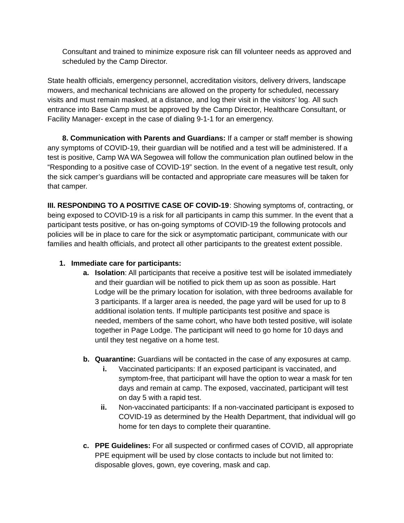Consultant and trained to minimize exposure risk can fill volunteer needs as approved and scheduled by the Camp Director.

State health officials, emergency personnel, accreditation visitors, delivery drivers, landscape mowers, and mechanical technicians are allowed on the property for scheduled, necessary visits and must remain masked, at a distance, and log their visit in the visitors' log. All such entrance into Base Camp must be approved by the Camp Director, Healthcare Consultant, or Facility Manager- except in the case of dialing 9-1-1 for an emergency.

**8. Communication with Parents and Guardians:** If a camper or staff member is showing any symptoms of COVID-19, their guardian will be notified and a test will be administered. If a test is positive, Camp WA WA Segowea will follow the communication plan outlined below in the "Responding to a positive case of COVID-19" section. In the event of a negative test result, only the sick camper's guardians will be contacted and appropriate care measures will be taken for that camper.

**III. RESPONDING TO A POSITIVE CASE OF COVID-19**: Showing symptoms of, contracting, or being exposed to COVID-19 is a risk for all participants in camp this summer. In the event that a participant tests positive, or has on-going symptoms of COVID-19 the following protocols and policies will be in place to care for the sick or asymptomatic participant, communicate with our families and health officials, and protect all other participants to the greatest extent possible.

#### **1. Immediate care for participants:**

- **a. Isolation**: All participants that receive a positive test will be isolated immediately and their guardian will be notified to pick them up as soon as possible. Hart Lodge will be the primary location for isolation, with three bedrooms available for 3 participants. If a larger area is needed, the page yard will be used for up to 8 additional isolation tents. If multiple participants test positive and space is needed, members of the same cohort, who have both tested positive, will isolate together in Page Lodge. The participant will need to go home for 10 days and until they test negative on a home test.
- **b. Quarantine:** Guardians will be contacted in the case of any exposures at camp.
	- **i.** Vaccinated participants: If an exposed participant is vaccinated, and symptom-free, that participant will have the option to wear a mask for ten days and remain at camp. The exposed, vaccinated, participant will test on day 5 with a rapid test.
	- **ii.** Non-vaccinated participants: If a non-vaccinated participant is exposed to COVID-19 as determined by the Health Department, that individual will go home for ten days to complete their quarantine.
- **c. PPE Guidelines:** For all suspected or confirmed cases of COVID, all appropriate PPE equipment will be used by close contacts to include but not limited to: disposable gloves, gown, eye covering, mask and cap.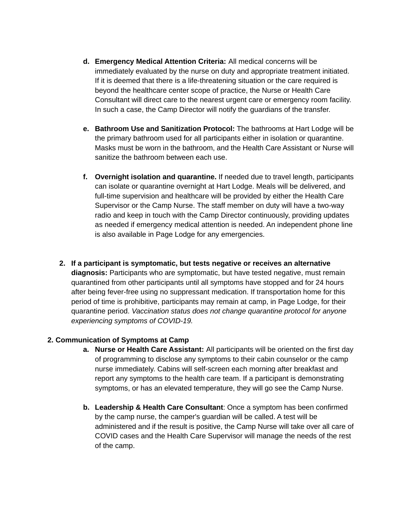- **d. Emergency Medical Attention Criteria:** All medical concerns will be immediately evaluated by the nurse on duty and appropriate treatment initiated. If it is deemed that there is a life-threatening situation or the care required is beyond the healthcare center scope of practice, the Nurse or Health Care Consultant will direct care to the nearest urgent care or emergency room facility. In such a case, the Camp Director will notify the guardians of the transfer.
- **e. Bathroom Use and Sanitization Protocol:** The bathrooms at Hart Lodge will be the primary bathroom used for all participants either in isolation or quarantine. Masks must be worn in the bathroom, and the Health Care Assistant or Nurse will sanitize the bathroom between each use.
- **f. Overnight isolation and quarantine.** If needed due to travel length, participants can isolate or quarantine overnight at Hart Lodge. Meals will be delivered, and full-time supervision and healthcare will be provided by either the Health Care Supervisor or the Camp Nurse. The staff member on duty will have a two-way radio and keep in touch with the Camp Director continuously, providing updates as needed if emergency medical attention is needed. An independent phone line is also available in Page Lodge for any emergencies.
- **2. If a participant is symptomatic, but tests negative or receives an alternative diagnosis:** Participants who are symptomatic, but have tested negative, must remain quarantined from other participants until all symptoms have stopped and for 24 hours after being fever-free using no suppressant medication. If transportation home for this period of time is prohibitive, participants may remain at camp, in Page Lodge, for their quarantine period. *Vaccination status does not change quarantine protocol for anyone experiencing symptoms of COVID-19.*

#### **2. Communication of Symptoms at Camp**

- **a. Nurse or Health Care Assistant:** All participants will be oriented on the first day of programming to disclose any symptoms to their cabin counselor or the camp nurse immediately. Cabins will self-screen each morning after breakfast and report any symptoms to the health care team. If a participant is demonstrating symptoms, or has an elevated temperature, they will go see the Camp Nurse.
- **b. Leadership & Health Care Consultant**: Once a symptom has been confirmed by the camp nurse, the camper's guardian will be called. A test will be administered and if the result is positive, the Camp Nurse will take over all care of COVID cases and the Health Care Supervisor will manage the needs of the rest of the camp.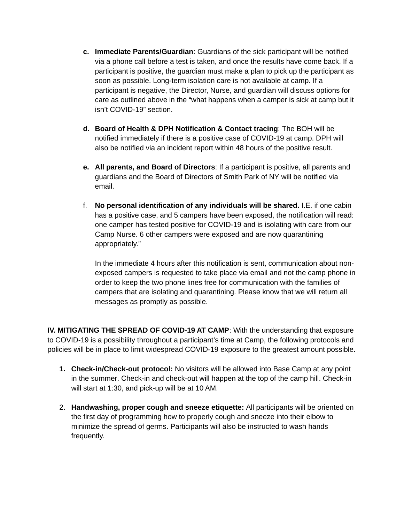- **c. Immediate Parents/Guardian**: Guardians of the sick participant will be notified via a phone call before a test is taken, and once the results have come back. If a participant is positive, the guardian must make a plan to pick up the participant as soon as possible. Long-term isolation care is not available at camp. If a participant is negative, the Director, Nurse, and guardian will discuss options for care as outlined above in the "what happens when a camper is sick at camp but it isn't COVID-19" section.
- **d. Board of Health & DPH Notification & Contact tracing**: The BOH will be notified immediately if there is a positive case of COVID-19 at camp. DPH will also be notified via an incident report within 48 hours of the positive result.
- **e. All parents, and Board of Directors**: If a participant is positive, all parents and guardians and the Board of Directors of Smith Park of NY will be notified via email.
- f. **No personal identification of any individuals will be shared.** I.E. if one cabin has a positive case, and 5 campers have been exposed, the notification will read: one camper has tested positive for COVID-19 and is isolating with care from our Camp Nurse. 6 other campers were exposed and are now quarantining appropriately."

In the immediate 4 hours after this notification is sent, communication about nonexposed campers is requested to take place via email and not the camp phone in order to keep the two phone lines free for communication with the families of campers that are isolating and quarantining. Please know that we will return all messages as promptly as possible.

**IV. MITIGATING THE SPREAD OF COVID-19 AT CAMP**: With the understanding that exposure to COVID-19 is a possibility throughout a participant's time at Camp, the following protocols and policies will be in place to limit widespread COVID-19 exposure to the greatest amount possible.

- **1. Check-in/Check-out protocol:** No visitors will be allowed into Base Camp at any point in the summer. Check-in and check-out will happen at the top of the camp hill. Check-in will start at 1:30, and pick-up will be at 10 AM.
- 2. **Handwashing, proper cough and sneeze etiquette:** All participants will be oriented on the first day of programming how to properly cough and sneeze into their elbow to minimize the spread of germs. Participants will also be instructed to wash hands frequently.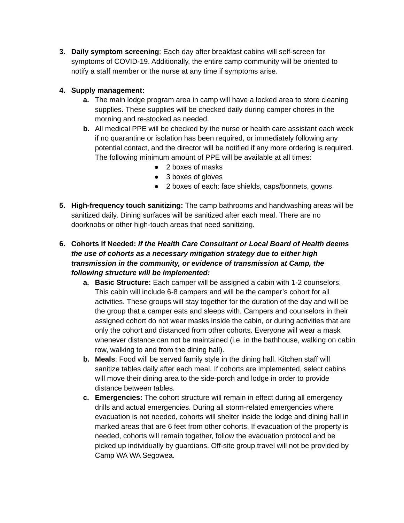**3. Daily symptom screening**: Each day after breakfast cabins will self-screen for symptoms of COVID-19. Additionally, the entire camp community will be oriented to notify a staff member or the nurse at any time if symptoms arise.

# **4. Supply management:**

- **a.** The main lodge program area in camp will have a locked area to store cleaning supplies. These supplies will be checked daily during camper chores in the morning and re-stocked as needed.
- **b.** All medical PPE will be checked by the nurse or health care assistant each week if no quarantine or isolation has been required, or immediately following any potential contact, and the director will be notified if any more ordering is required. The following minimum amount of PPE will be available at all times:
	- 2 boxes of masks
	- 3 boxes of gloves
	- 2 boxes of each: face shields, caps/bonnets, gowns
- **5. High-frequency touch sanitizing:** The camp bathrooms and handwashing areas will be sanitized daily. Dining surfaces will be sanitized after each meal. There are no doorknobs or other high-touch areas that need sanitizing.

# **6. Cohorts if Needed:** *If the Health Care Consultant or Local Board of Health deems the use of cohorts as a necessary mitigation strategy due to either high transmission in the community, or evidence of transmission at Camp, the following structure will be implemented:*

- **a. Basic Structure:** Each camper will be assigned a cabin with 1-2 counselors. This cabin will include 6-8 campers and will be the camper's cohort for all activities. These groups will stay together for the duration of the day and will be the group that a camper eats and sleeps with. Campers and counselors in their assigned cohort do not wear masks inside the cabin, or during activities that are only the cohort and distanced from other cohorts. Everyone will wear a mask whenever distance can not be maintained (i.e. in the bathhouse, walking on cabin row, walking to and from the dining hall).
- **b. Meals**: Food will be served family style in the dining hall. Kitchen staff will sanitize tables daily after each meal. If cohorts are implemented, select cabins will move their dining area to the side-porch and lodge in order to provide distance between tables.
- **c. Emergencies:** The cohort structure will remain in effect during all emergency drills and actual emergencies. During all storm-related emergencies where evacuation is not needed, cohorts will shelter inside the lodge and dining hall in marked areas that are 6 feet from other cohorts. If evacuation of the property is needed, cohorts will remain together, follow the evacuation protocol and be picked up individually by guardians. Off-site group travel will not be provided by Camp WA WA Segowea.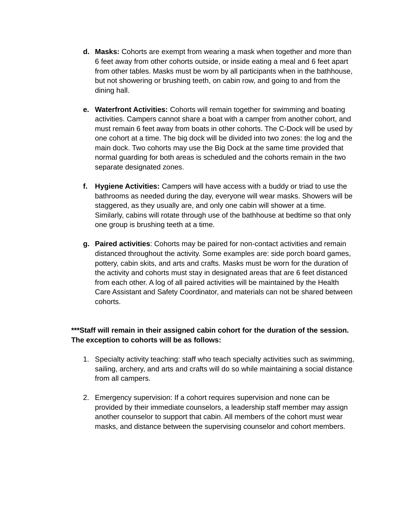- **d. Masks:** Cohorts are exempt from wearing a mask when together and more than 6 feet away from other cohorts outside, or inside eating a meal and 6 feet apart from other tables. Masks must be worn by all participants when in the bathhouse, but not showering or brushing teeth, on cabin row, and going to and from the dining hall.
- **e. Waterfront Activities:** Cohorts will remain together for swimming and boating activities. Campers cannot share a boat with a camper from another cohort, and must remain 6 feet away from boats in other cohorts. The C-Dock will be used by one cohort at a time. The big dock will be divided into two zones: the log and the main dock. Two cohorts may use the Big Dock at the same time provided that normal guarding for both areas is scheduled and the cohorts remain in the two separate designated zones.
- **f. Hygiene Activities:** Campers will have access with a buddy or triad to use the bathrooms as needed during the day, everyone will wear masks. Showers will be staggered, as they usually are, and only one cabin will shower at a time. Similarly, cabins will rotate through use of the bathhouse at bedtime so that only one group is brushing teeth at a time.
- **g. Paired activities**: Cohorts may be paired for non-contact activities and remain distanced throughout the activity. Some examples are: side porch board games, pottery, cabin skits, and arts and crafts. Masks must be worn for the duration of the activity and cohorts must stay in designated areas that are 6 feet distanced from each other. A log of all paired activities will be maintained by the Health Care Assistant and Safety Coordinator, and materials can not be shared between cohorts.

## **\*\*\*Staff will remain in their assigned cabin cohort for the duration of the session. The exception to cohorts will be as follows:**

- 1. Specialty activity teaching: staff who teach specialty activities such as swimming, sailing, archery, and arts and crafts will do so while maintaining a social distance from all campers.
- 2. Emergency supervision: If a cohort requires supervision and none can be provided by their immediate counselors, a leadership staff member may assign another counselor to support that cabin. All members of the cohort must wear masks, and distance between the supervising counselor and cohort members.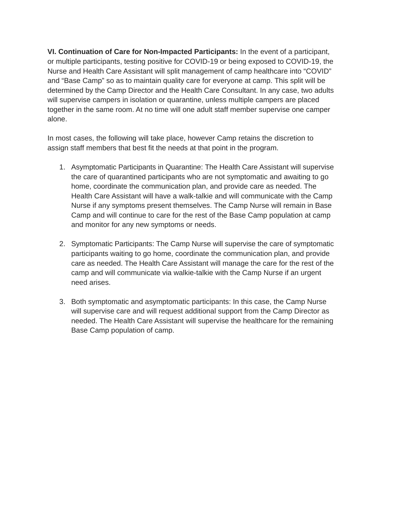**VI. Continuation of Care for Non-Impacted Participants:** In the event of a participant, or multiple participants, testing positive for COVID-19 or being exposed to COVID-19, the Nurse and Health Care Assistant will split management of camp healthcare into "COVID" and "Base Camp" so as to maintain quality care for everyone at camp. This split will be determined by the Camp Director and the Health Care Consultant. In any case, two adults will supervise campers in isolation or quarantine, unless multiple campers are placed together in the same room. At no time will one adult staff member supervise one camper alone.

In most cases, the following will take place, however Camp retains the discretion to assign staff members that best fit the needs at that point in the program.

- 1. Asymptomatic Participants in Quarantine: The Health Care Assistant will supervise the care of quarantined participants who are not symptomatic and awaiting to go home, coordinate the communication plan, and provide care as needed. The Health Care Assistant will have a walk-talkie and will communicate with the Camp Nurse if any symptoms present themselves. The Camp Nurse will remain in Base Camp and will continue to care for the rest of the Base Camp population at camp and monitor for any new symptoms or needs.
- 2. Symptomatic Participants: The Camp Nurse will supervise the care of symptomatic participants waiting to go home, coordinate the communication plan, and provide care as needed. The Health Care Assistant will manage the care for the rest of the camp and will communicate via walkie-talkie with the Camp Nurse if an urgent need arises.
- 3. Both symptomatic and asymptomatic participants: In this case, the Camp Nurse will supervise care and will request additional support from the Camp Director as needed. The Health Care Assistant will supervise the healthcare for the remaining Base Camp population of camp.